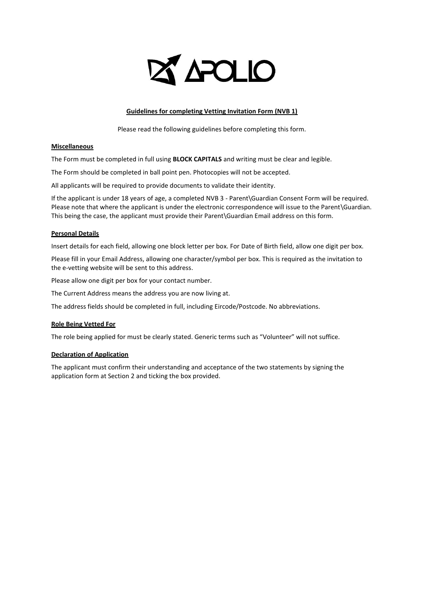

# **Guidelines for completing Vetting Invitation Form (NVB 1)**

Please read the following guidelines before completing this form.

# **Miscellaneous**

The Form must be completed in full using **BLOCK CAPITALS** and writing must be clear and legible.

The Form should be completed in ball point pen. Photocopies will not be accepted.

All applicants will be required to provide documents to validate their identity.

If the applicant is under 18 years of age, a completed NVB 3 - Parent\Guardian Consent Form will be required. Please note that where the applicant is under the electronic correspondence will issue to the Parent\Guardian. This being the case, the applicant must provide their Parent\Guardian Email address on this form.

### **Personal Details**

Insert details for each field, allowing one block letter per box. For Date of Birth field, allow one digit per box.

Please fill in your Email Address, allowing one character/symbol per box. This is required as the invitation to the e-vetting website will be sent to this address.

Please allow one digit per box for your contact number.

The Current Address means the address you are now living at.

The address fields should be completed in full, including Eircode/Postcode. No abbreviations.

### **Role Being Vetted For**

The role being applied for must be clearly stated. Generic terms such as "Volunteer" will not suffice.

### **Declaration of Application**

The applicant must confirm their understanding and acceptance of the two statements by signing the application form at Section 2 and ticking the box provided.